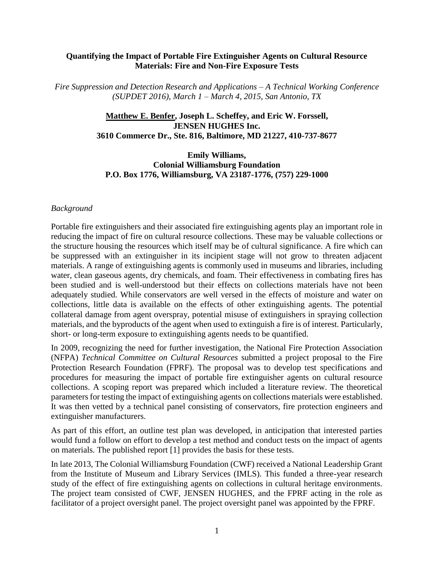#### **Quantifying the Impact of Portable Fire Extinguisher Agents on Cultural Resource Materials: Fire and Non-Fire Exposure Tests**

*Fire Suppression and Detection Research and Applications – A Technical Working Conference (SUPDET 2016), March 1 – March 4, 2015, San Antonio, TX*

#### **Matthew E. Benfer, Joseph L. Scheffey, and Eric W. Forssell, JENSEN HUGHES Inc. 3610 Commerce Dr., Ste. 816, Baltimore, MD 21227, 410-737-8677**

**Emily Williams, Colonial Williamsburg Foundation P.O. Box 1776, Williamsburg, VA 23187-1776, (757) 229-1000**

#### *Background*

Portable fire extinguishers and their associated fire extinguishing agents play an important role in reducing the impact of fire on cultural resource collections. These may be valuable collections or the structure housing the resources which itself may be of cultural significance. A fire which can be suppressed with an extinguisher in its incipient stage will not grow to threaten adjacent materials. A range of extinguishing agents is commonly used in museums and libraries, including water, clean gaseous agents, dry chemicals, and foam. Their effectiveness in combating fires has been studied and is well-understood but their effects on collections materials have not been adequately studied. While conservators are well versed in the effects of moisture and water on collections, little data is available on the effects of other extinguishing agents. The potential collateral damage from agent overspray, potential misuse of extinguishers in spraying collection materials, and the byproducts of the agent when used to extinguish a fire is of interest. Particularly, short- or long-term exposure to extinguishing agents needs to be quantified.

In 2009, recognizing the need for further investigation, the National Fire Protection Association (NFPA) *Technical Committee on Cultural Resources* submitted a project proposal to the Fire Protection Research Foundation (FPRF). The proposal was to develop test specifications and procedures for measuring the impact of portable fire extinguisher agents on cultural resource collections. A scoping report was prepared which included a literature review. The theoretical parameters for testing the impact of extinguishing agents on collections materials were established. It was then vetted by a technical panel consisting of conservators, fire protection engineers and extinguisher manufacturers.

As part of this effort, an outline test plan was developed, in anticipation that interested parties would fund a follow on effort to develop a test method and conduct tests on the impact of agents on materials. The published report [1] provides the basis for these tests.

In late 2013, The Colonial Williamsburg Foundation (CWF) received a National Leadership Grant from the Institute of Museum and Library Services (IMLS). This funded a three-year research study of the effect of fire extinguishing agents on collections in cultural heritage environments. The project team consisted of CWF, JENSEN HUGHES, and the FPRF acting in the role as facilitator of a project oversight panel. The project oversight panel was appointed by the FPRF.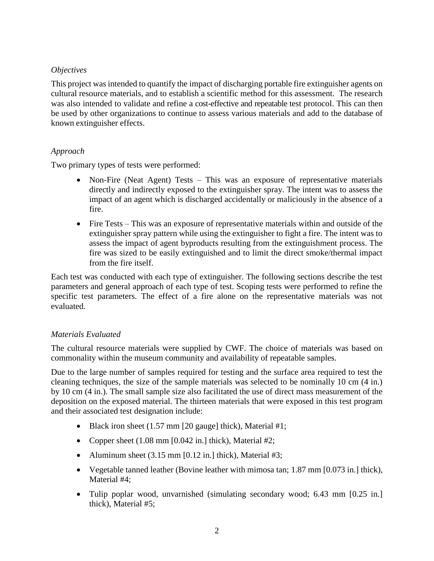#### *Objectives*

This project was intended to quantify the impact of discharging portable fire extinguisher agents on cultural resource materials, and to establish a scientific method for this assessment. The research was also intended to validate and refine a cost-effective and repeatable test protocol. This can then be used by other organizations to continue to assess various materials and add to the database of known extinguisher effects.

#### *Approach*

Two primary types of tests were performed:

- Non-Fire (Neat Agent) Tests This was an exposure of representative materials directly and indirectly exposed to the extinguisher spray. The intent was to assess the impact of an agent which is discharged accidentally or maliciously in the absence of a fire.
- Fire Tests This was an exposure of representative materials within and outside of the extinguisher spray pattern while using the extinguisher to fight a fire. The intent was to assess the impact of agent byproducts resulting from the extinguishment process. The fire was sized to be easily extinguished and to limit the direct smoke/thermal impact from the fire itself.

Each test was conducted with each type of extinguisher. The following sections describe the test parameters and general approach of each type of test. Scoping tests were performed to refine the specific test parameters. The effect of a fire alone on the representative materials was not evaluated.

# *Materials Evaluated*

The cultural resource materials were supplied by CWF. The choice of materials was based on commonality within the museum community and availability of repeatable samples.

Due to the large number of samples required for testing and the surface area required to test the cleaning techniques, the size of the sample materials was selected to be nominally 10 cm (4 in.) by 10 cm (4 in.). The small sample size also facilitated the use of direct mass measurement of the deposition on the exposed material. The thirteen materials that were exposed in this test program and their associated test designation include:

- $\bullet$  Black iron sheet (1.57 mm [20 gauge] thick), Material #1;
- Copper sheet  $(1.08 \text{ mm } [0.042 \text{ in.}]$  thick), Material #2;
- Aluminum sheet  $(3.15 \text{ mm } [0.12 \text{ in.}]$  thick), Material #3;
- Vegetable tanned leather (Bovine leather with mimosa tan; 1.87 mm [0.073 in.] thick), Material #4;
- Tulip poplar wood, unvarnished (simulating secondary wood; 6.43 mm [0.25 in.] thick), Material #5;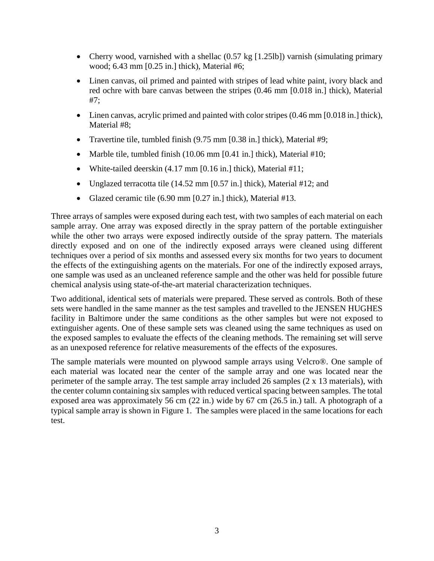- Cherry wood, varnished with a shellac (0.57 kg [1.25lb]) varnish (simulating primary wood; 6.43 mm [0.25 in.] thick), Material #6;
- Linen canvas, oil primed and painted with stripes of lead white paint, ivory black and red ochre with bare canvas between the stripes (0.46 mm [0.018 in.] thick), Material #7;
- Linen canvas, acrylic primed and painted with color stripes (0.46 mm [0.018 in.] thick), Material #8;
- Travertine tile, tumbled finish (9.75 mm [0.38 in.] thick), Material #9;
- Marble tile, tumbled finish  $(10.06 \text{ mm} [0.41 \text{ in.}]$  thick), Material #10;
- White-tailed deerskin (4.17 mm [0.16 in.] thick), Material #11;
- Unglazed terracotta tile  $(14.52 \text{ mm } [0.57 \text{ in.}]$  thick), Material #12; and
- Glazed ceramic tile  $(6.90 \text{ mm } [0.27 \text{ in.}]$  thick), Material #13.

Three arrays of samples were exposed during each test, with two samples of each material on each sample array. One array was exposed directly in the spray pattern of the portable extinguisher while the other two arrays were exposed indirectly outside of the spray pattern. The materials directly exposed and on one of the indirectly exposed arrays were cleaned using different techniques over a period of six months and assessed every six months for two years to document the effects of the extinguishing agents on the materials. For one of the indirectly exposed arrays, one sample was used as an uncleaned reference sample and the other was held for possible future chemical analysis using state-of-the-art material characterization techniques.

Two additional, identical sets of materials were prepared. These served as controls. Both of these sets were handled in the same manner as the test samples and travelled to the JENSEN HUGHES facility in Baltimore under the same conditions as the other samples but were not exposed to extinguisher agents. One of these sample sets was cleaned using the same techniques as used on the exposed samples to evaluate the effects of the cleaning methods. The remaining set will serve as an unexposed reference for relative measurements of the effects of the exposures.

The sample materials were mounted on plywood sample arrays using Velcro®. One sample of each material was located near the center of the sample array and one was located near the perimeter of the sample array. The test sample array included 26 samples (2 x 13 materials), with the center column containing six samples with reduced vertical spacing between samples. The total exposed area was approximately 56 cm (22 in.) wide by 67 cm (26.5 in.) tall. A photograph of a typical sample array is shown in Figure 1. The samples were placed in the same locations for each test.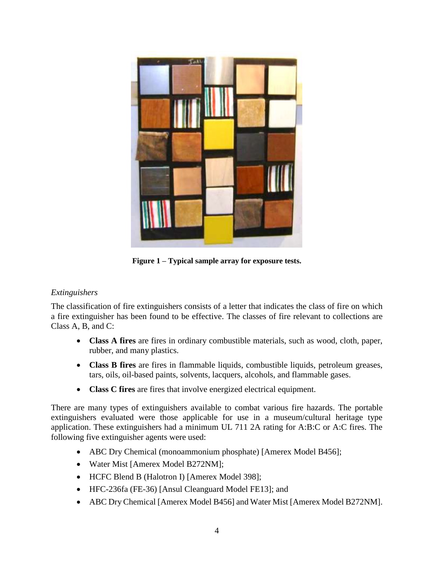

**Figure 1 – Typical sample array for exposure tests.**

# *Extinguishers*

The classification of fire extinguishers consists of a letter that indicates the class of fire on which a fire extinguisher has been found to be effective. The classes of fire relevant to collections are Class A, B, and C:

- **Class A fires** are fires in ordinary combustible materials, such as wood, cloth, paper, rubber, and many plastics.
- **Class B fires** are fires in flammable liquids, combustible liquids, petroleum greases, tars, oils, oil-based paints, solvents, lacquers, alcohols, and flammable gases.
- **Class C fires** are fires that involve energized electrical equipment.

There are many types of extinguishers available to combat various fire hazards. The portable extinguishers evaluated were those applicable for use in a museum/cultural heritage type application. These extinguishers had a minimum UL 711 2A rating for A:B:C or A:C fires. The following five extinguisher agents were used:

- ABC Dry Chemical (monoammonium phosphate) [Amerex Model B456];
- Water Mist [Amerex Model B272NM];
- HCFC Blend B (Halotron I) [Amerex Model 398];
- HFC-236fa (FE-36) [Ansul Cleanguard Model FE13]; and
- ABC Dry Chemical [Amerex Model B456] and Water Mist [Amerex Model B272NM].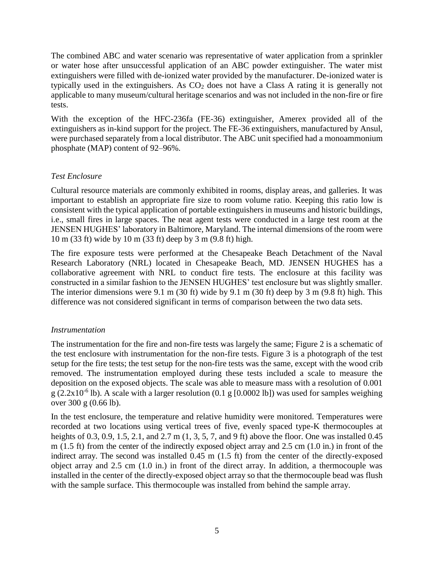The combined ABC and water scenario was representative of water application from a sprinkler or water hose after unsuccessful application of an ABC powder extinguisher. The water mist extinguishers were filled with de-ionized water provided by the manufacturer. De-ionized water is typically used in the extinguishers. As  $CO<sub>2</sub>$  does not have a Class A rating it is generally not applicable to many museum/cultural heritage scenarios and was not included in the non-fire or fire tests.

With the exception of the HFC-236fa (FE-36) extinguisher, Amerex provided all of the extinguishers as in-kind support for the project. The FE-36 extinguishers, manufactured by Ansul, were purchased separately from a local distributor. The ABC unit specified had a monoammonium phosphate (MAP) content of 92–96%.

# *Test Enclosure*

Cultural resource materials are commonly exhibited in rooms, display areas, and galleries. It was important to establish an appropriate fire size to room volume ratio. Keeping this ratio low is consistent with the typical application of portable extinguishers in museums and historic buildings, i.e., small fires in large spaces. The neat agent tests were conducted in a large test room at the JENSEN HUGHES' laboratory in Baltimore, Maryland. The internal dimensions of the room were 10 m (33 ft) wide by 10 m (33 ft) deep by 3 m (9.8 ft) high.

The fire exposure tests were performed at the Chesapeake Beach Detachment of the Naval Research Laboratory (NRL) located in Chesapeake Beach, MD. JENSEN HUGHES has a collaborative agreement with NRL to conduct fire tests. The enclosure at this facility was constructed in a similar fashion to the JENSEN HUGHES' test enclosure but was slightly smaller. The interior dimensions were 9.1 m (30 ft) wide by 9.1 m (30 ft) deep by 3 m (9.8 ft) high. This difference was not considered significant in terms of comparison between the two data sets.

# *Instrumentation*

The instrumentation for the fire and non-fire tests was largely the same; Figure 2 is a schematic of the test enclosure with instrumentation for the non-fire tests. Figure 3 is a photograph of the test setup for the fire tests; the test setup for the non-fire tests was the same, except with the wood crib removed. The instrumentation employed during these tests included a scale to measure the deposition on the exposed objects. The scale was able to measure mass with a resolution of 0.001  $g$  (2.2x10<sup>-6</sup> lb). A scale with a larger resolution (0.1 g [0.0002 lb]) was used for samples weighing over 300 g (0.66 lb).

In the test enclosure, the temperature and relative humidity were monitored. Temperatures were recorded at two locations using vertical trees of five, evenly spaced type-K thermocouples at heights of 0.3, 0.9, 1.5, 2.1, and 2.7 m (1, 3, 5, 7, and 9 ft) above the floor. One was installed 0.45 m (1.5 ft) from the center of the indirectly exposed object array and 2.5 cm (1.0 in.) in front of the indirect array. The second was installed 0.45 m (1.5 ft) from the center of the directly-exposed object array and 2.5 cm (1.0 in.) in front of the direct array. In addition, a thermocouple was installed in the center of the directly-exposed object array so that the thermocouple bead was flush with the sample surface. This thermocouple was installed from behind the sample array.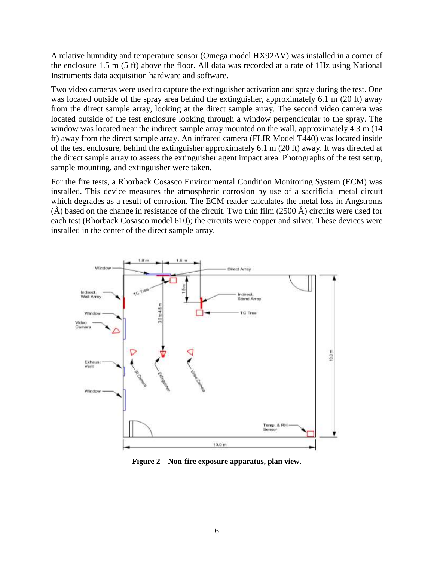A relative humidity and temperature sensor (Omega model HX92AV) was installed in a corner of the enclosure 1.5 m (5 ft) above the floor. All data was recorded at a rate of 1Hz using National Instruments data acquisition hardware and software.

Two video cameras were used to capture the extinguisher activation and spray during the test. One was located outside of the spray area behind the extinguisher, approximately 6.1 m (20 ft) away from the direct sample array, looking at the direct sample array. The second video camera was located outside of the test enclosure looking through a window perpendicular to the spray. The window was located near the indirect sample array mounted on the wall, approximately 4.3 m (14 ft) away from the direct sample array. An infrared camera (FLIR Model T440) was located inside of the test enclosure, behind the extinguisher approximately 6.1 m (20 ft) away. It was directed at the direct sample array to assess the extinguisher agent impact area. Photographs of the test setup, sample mounting, and extinguisher were taken.

For the fire tests, a Rhorback Cosasco Environmental Condition Monitoring System (ECM) was installed. This device measures the atmospheric corrosion by use of a sacrificial metal circuit which degrades as a result of corrosion. The ECM reader calculates the metal loss in Angstroms  $(\hat{A})$  based on the change in resistance of the circuit. Two thin film (2500  $\hat{A}$ ) circuits were used for each test (Rhorback Cosasco model 610); the circuits were copper and silver. These devices were installed in the center of the direct sample array.



**Figure 2 – Non-fire exposure apparatus, plan view.**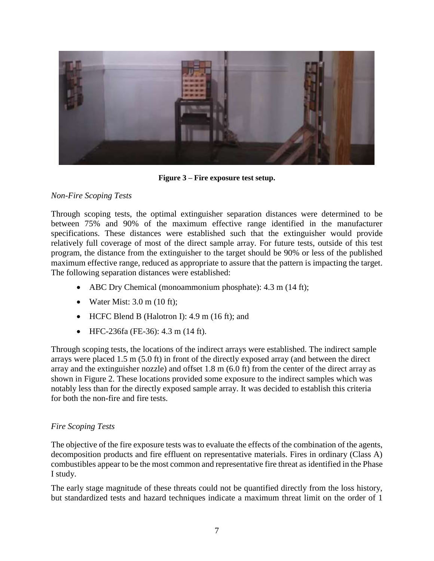

**Figure 3 – Fire exposure test setup.**

#### *Non-Fire Scoping Tests*

Through scoping tests, the optimal extinguisher separation distances were determined to be between 75% and 90% of the maximum effective range identified in the manufacturer specifications. These distances were established such that the extinguisher would provide relatively full coverage of most of the direct sample array. For future tests, outside of this test program, the distance from the extinguisher to the target should be 90% or less of the published maximum effective range, reduced as appropriate to assure that the pattern is impacting the target. The following separation distances were established:

- ABC Dry Chemical (monoammonium phosphate): 4.3 m (14 ft);
- Water Mist:  $3.0 \text{ m } (10 \text{ ft})$ ;
- $\bullet$  HCFC Blend B (Halotron I): 4.9 m (16 ft); and
- HFC-236fa (FE-36): 4.3 m (14 ft).

Through scoping tests, the locations of the indirect arrays were established. The indirect sample arrays were placed 1.5 m (5.0 ft) in front of the directly exposed array (and between the direct array and the extinguisher nozzle) and offset 1.8 m (6.0 ft) from the center of the direct array as shown in Figure 2. These locations provided some exposure to the indirect samples which was notably less than for the directly exposed sample array. It was decided to establish this criteria for both the non-fire and fire tests.

# *Fire Scoping Tests*

The objective of the fire exposure tests was to evaluate the effects of the combination of the agents, decomposition products and fire effluent on representative materials. Fires in ordinary (Class A) combustibles appear to be the most common and representative fire threat as identified in the Phase I study.

The early stage magnitude of these threats could not be quantified directly from the loss history, but standardized tests and hazard techniques indicate a maximum threat limit on the order of 1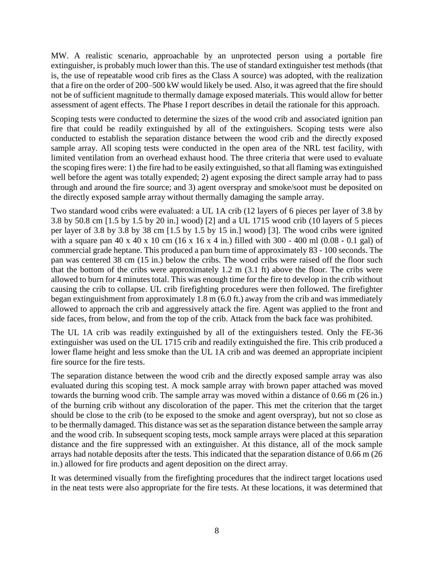MW. A realistic scenario, approachable by an unprotected person using a portable fire extinguisher, is probably much lower than this. The use of standard extinguisher test methods (that is, the use of repeatable wood crib fires as the Class A source) was adopted, with the realization that a fire on the order of 200–500 kW would likely be used. Also, it was agreed that the fire should not be of sufficient magnitude to thermally damage exposed materials. This would allow for better assessment of agent effects. The Phase I report describes in detail the rationale for this approach.

Scoping tests were conducted to determine the sizes of the wood crib and associated ignition pan fire that could be readily extinguished by all of the extinguishers. Scoping tests were also conducted to establish the separation distance between the wood crib and the directly exposed sample array. All scoping tests were conducted in the open area of the NRL test facility, with limited ventilation from an overhead exhaust hood. The three criteria that were used to evaluate the scoping fires were: 1) the fire had to be easily extinguished, so that all flaming was extinguished well before the agent was totally expended; 2) agent exposing the direct sample array had to pass through and around the fire source; and 3) agent overspray and smoke/soot must be deposited on the directly exposed sample array without thermally damaging the sample array.

Two standard wood cribs were evaluated: a UL 1A crib (12 layers of 6 pieces per layer of 3.8 by 3.8 by 50.8 cm [1.5 by 1.5 by 20 in.] wood) [2] and a UL 1715 wood crib (10 layers of 5 pieces per layer of 3.8 by 3.8 by 38 cm [1.5 by 1.5 by 15 in.] wood) [3]. The wood cribs were ignited with a square pan 40 x 40 x 10 cm (16 x 16 x 4 in.) filled with  $300 - 400$  ml (0.08 - 0.1 gal) of commercial grade heptane. This produced a pan burn time of approximately 83 - 100 seconds. The pan was centered 38 cm (15 in.) below the cribs. The wood cribs were raised off the floor such that the bottom of the cribs were approximately 1.2 m (3.1 ft) above the floor. The cribs were allowed to burn for 4 minutes total. This was enough time for the fire to develop in the crib without causing the crib to collapse. UL crib firefighting procedures were then followed. The firefighter began extinguishment from approximately 1.8 m (6.0 ft.) away from the crib and was immediately allowed to approach the crib and aggressively attack the fire. Agent was applied to the front and side faces, from below, and from the top of the crib. Attack from the back face was prohibited.

The UL 1A crib was readily extinguished by all of the extinguishers tested. Only the FE-36 extinguisher was used on the UL 1715 crib and readily extinguished the fire. This crib produced a lower flame height and less smoke than the UL 1A crib and was deemed an appropriate incipient fire source for the fire tests.

The separation distance between the wood crib and the directly exposed sample array was also evaluated during this scoping test. A mock sample array with brown paper attached was moved towards the burning wood crib. The sample array was moved within a distance of 0.66 m (26 in.) of the burning crib without any discoloration of the paper. This met the criterion that the target should be close to the crib (to be exposed to the smoke and agent overspray), but not so close as to be thermally damaged. This distance was set as the separation distance between the sample array and the wood crib. In subsequent scoping tests, mock sample arrays were placed at this separation distance and the fire suppressed with an extinguisher. At this distance, all of the mock sample arrays had notable deposits after the tests. This indicated that the separation distance of 0.66 m (26 in.) allowed for fire products and agent deposition on the direct array.

It was determined visually from the firefighting procedures that the indirect target locations used in the neat tests were also appropriate for the fire tests. At these locations, it was determined that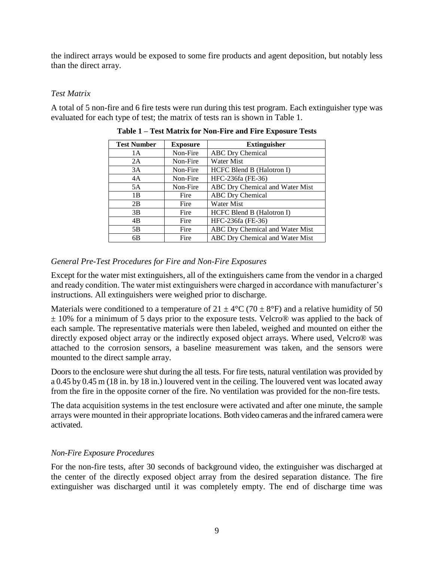the indirect arrays would be exposed to some fire products and agent deposition, but notably less than the direct array.

#### *Test Matrix*

A total of 5 non-fire and 6 fire tests were run during this test program. Each extinguisher type was evaluated for each type of test; the matrix of tests ran is shown in Table 1.

| <b>Test Number</b><br><b>Exposure</b> |          | <b>Extinguisher</b>             |  |
|---------------------------------------|----------|---------------------------------|--|
| 1 A                                   | Non-Fire | <b>ABC</b> Dry Chemical         |  |
| 2A                                    | Non-Fire | <b>Water Mist</b>               |  |
| 3A                                    | Non-Fire | HCFC Blend B (Halotron I)       |  |
| 4A                                    | Non-Fire | HFC-236fa (FE-36)               |  |
| 5A                                    | Non-Fire | ABC Dry Chemical and Water Mist |  |
| 1B                                    | Fire     | <b>ABC</b> Dry Chemical         |  |
| 2B                                    | Fire     | <b>Water Mist</b>               |  |
| 3B                                    | Fire     | HCFC Blend B (Halotron I)       |  |
| 4B                                    | Fire     | HFC-236fa (FE-36)               |  |
| 5B                                    | Fire     | ABC Dry Chemical and Water Mist |  |
| 6B                                    | Fire     | ABC Dry Chemical and Water Mist |  |

|  |  |  | Table 1 – Test Matrix for Non-Fire and Fire Exposure Tests |
|--|--|--|------------------------------------------------------------|
|--|--|--|------------------------------------------------------------|

#### *General Pre-Test Procedures for Fire and Non-Fire Exposures*

Except for the water mist extinguishers, all of the extinguishers came from the vendor in a charged and ready condition. The water mist extinguishers were charged in accordance with manufacturer's instructions. All extinguishers were weighed prior to discharge.

Materials were conditioned to a temperature of  $21 \pm 4^{\circ}C$  (70  $\pm 8^{\circ}F$ ) and a relative humidity of 50  $\pm$  10% for a minimum of 5 days prior to the exposure tests. Velcro<sup>®</sup> was applied to the back of each sample. The representative materials were then labeled, weighed and mounted on either the directly exposed object array or the indirectly exposed object arrays. Where used, Velcro® was attached to the corrosion sensors, a baseline measurement was taken, and the sensors were mounted to the direct sample array.

Doors to the enclosure were shut during the all tests. For fire tests, natural ventilation was provided by a 0.45 by 0.45 m (18 in. by 18 in.) louvered vent in the ceiling. The louvered vent was located away from the fire in the opposite corner of the fire. No ventilation was provided for the non-fire tests.

The data acquisition systems in the test enclosure were activated and after one minute, the sample arrays were mounted in their appropriate locations. Both video cameras and the infrared camera were activated.

# *Non-Fire Exposure Procedures*

For the non-fire tests, after 30 seconds of background video, the extinguisher was discharged at the center of the directly exposed object array from the desired separation distance. The fire extinguisher was discharged until it was completely empty. The end of discharge time was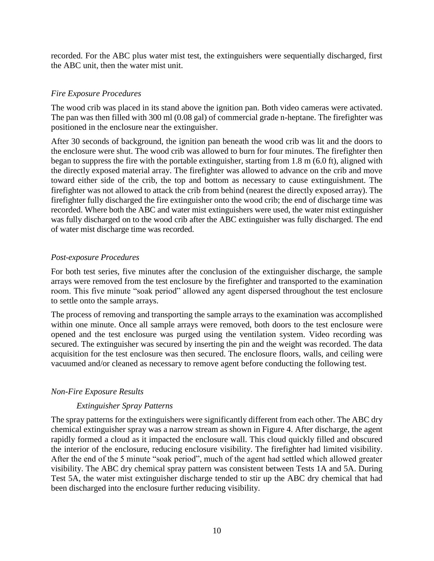recorded. For the ABC plus water mist test, the extinguishers were sequentially discharged, first the ABC unit, then the water mist unit.

#### *Fire Exposure Procedures*

The wood crib was placed in its stand above the ignition pan. Both video cameras were activated. The pan was then filled with 300 ml (0.08 gal) of commercial grade n-heptane. The firefighter was positioned in the enclosure near the extinguisher.

After 30 seconds of background, the ignition pan beneath the wood crib was lit and the doors to the enclosure were shut. The wood crib was allowed to burn for four minutes. The firefighter then began to suppress the fire with the portable extinguisher, starting from 1.8 m (6.0 ft), aligned with the directly exposed material array. The firefighter was allowed to advance on the crib and move toward either side of the crib, the top and bottom as necessary to cause extinguishment. The firefighter was not allowed to attack the crib from behind (nearest the directly exposed array). The firefighter fully discharged the fire extinguisher onto the wood crib; the end of discharge time was recorded. Where both the ABC and water mist extinguishers were used, the water mist extinguisher was fully discharged on to the wood crib after the ABC extinguisher was fully discharged. The end of water mist discharge time was recorded.

#### *Post-exposure Procedures*

For both test series, five minutes after the conclusion of the extinguisher discharge, the sample arrays were removed from the test enclosure by the firefighter and transported to the examination room. This five minute "soak period" allowed any agent dispersed throughout the test enclosure to settle onto the sample arrays.

The process of removing and transporting the sample arrays to the examination was accomplished within one minute. Once all sample arrays were removed, both doors to the test enclosure were opened and the test enclosure was purged using the ventilation system. Video recording was secured. The extinguisher was secured by inserting the pin and the weight was recorded. The data acquisition for the test enclosure was then secured. The enclosure floors, walls, and ceiling were vacuumed and/or cleaned as necessary to remove agent before conducting the following test.

#### *Non-Fire Exposure Results*

# *Extinguisher Spray Patterns*

The spray patterns for the extinguishers were significantly different from each other. The ABC dry chemical extinguisher spray was a narrow stream as shown in Figure 4. After discharge, the agent rapidly formed a cloud as it impacted the enclosure wall. This cloud quickly filled and obscured the interior of the enclosure, reducing enclosure visibility. The firefighter had limited visibility. After the end of the 5 minute "soak period", much of the agent had settled which allowed greater visibility. The ABC dry chemical spray pattern was consistent between Tests 1A and 5A. During Test 5A, the water mist extinguisher discharge tended to stir up the ABC dry chemical that had been discharged into the enclosure further reducing visibility.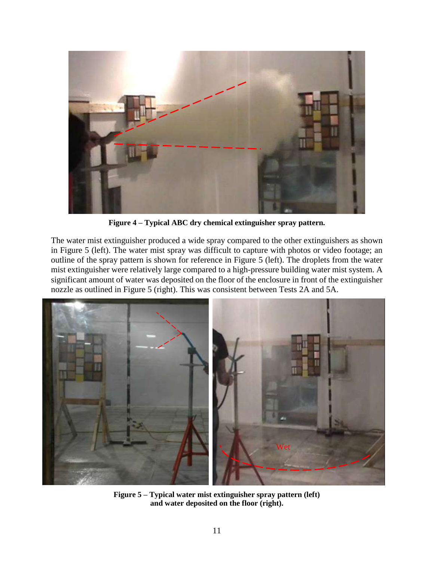

**Figure 4 – Typical ABC dry chemical extinguisher spray pattern.**

The water mist extinguisher produced a wide spray compared to the other extinguishers as shown in Figure 5 (left). The water mist spray was difficult to capture with photos or video footage; an outline of the spray pattern is shown for reference in Figure 5 (left). The droplets from the water mist extinguisher were relatively large compared to a high-pressure building water mist system. A significant amount of water was deposited on the floor of the enclosure in front of the extinguisher nozzle as outlined in Figure 5 (right). This was consistent between Tests 2A and 5A.



**Figure 5 – Typical water mist extinguisher spray pattern (left) and water deposited on the floor (right).**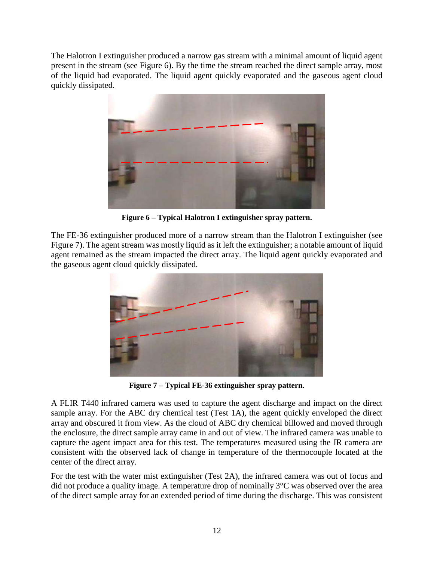The Halotron I extinguisher produced a narrow gas stream with a minimal amount of liquid agent present in the stream (see Figure 6). By the time the stream reached the direct sample array, most of the liquid had evaporated. The liquid agent quickly evaporated and the gaseous agent cloud quickly dissipated.



**Figure 6 – Typical Halotron I extinguisher spray pattern.**

The FE-36 extinguisher produced more of a narrow stream than the Halotron I extinguisher (see Figure 7). The agent stream was mostly liquid as it left the extinguisher; a notable amount of liquid agent remained as the stream impacted the direct array. The liquid agent quickly evaporated and the gaseous agent cloud quickly dissipated.



**Figure 7 – Typical FE-36 extinguisher spray pattern.**

A FLIR T440 infrared camera was used to capture the agent discharge and impact on the direct sample array. For the ABC dry chemical test (Test 1A), the agent quickly enveloped the direct array and obscured it from view. As the cloud of ABC dry chemical billowed and moved through the enclosure, the direct sample array came in and out of view. The infrared camera was unable to capture the agent impact area for this test. The temperatures measured using the IR camera are consistent with the observed lack of change in temperature of the thermocouple located at the center of the direct array.

For the test with the water mist extinguisher (Test 2A), the infrared camera was out of focus and did not produce a quality image. A temperature drop of nominally 3°C was observed over the area of the direct sample array for an extended period of time during the discharge. This was consistent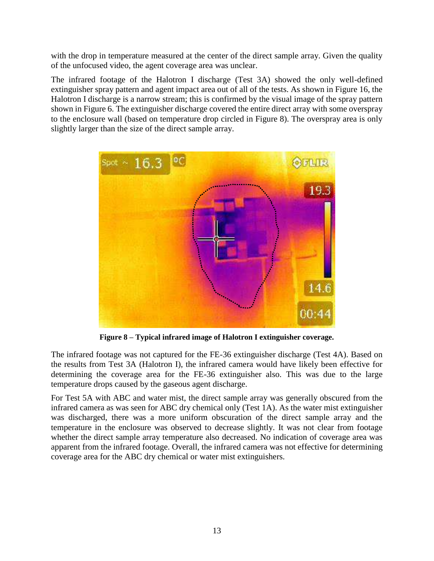with the drop in temperature measured at the center of the direct sample array. Given the quality of the unfocused video, the agent coverage area was unclear.

The infrared footage of the Halotron I discharge (Test 3A) showed the only well-defined extinguisher spray pattern and agent impact area out of all of the tests. As shown in Figure 16, the Halotron I discharge is a narrow stream; this is confirmed by the visual image of the spray pattern shown in Figure 6. The extinguisher discharge covered the entire direct array with some overspray to the enclosure wall (based on temperature drop circled in Figure 8). The overspray area is only slightly larger than the size of the direct sample array.



**Figure 8 – Typical infrared image of Halotron I extinguisher coverage.**

The infrared footage was not captured for the FE-36 extinguisher discharge (Test 4A). Based on the results from Test 3A (Halotron I), the infrared camera would have likely been effective for determining the coverage area for the FE-36 extinguisher also. This was due to the large temperature drops caused by the gaseous agent discharge.

For Test 5A with ABC and water mist, the direct sample array was generally obscured from the infrared camera as was seen for ABC dry chemical only (Test 1A). As the water mist extinguisher was discharged, there was a more uniform obscuration of the direct sample array and the temperature in the enclosure was observed to decrease slightly. It was not clear from footage whether the direct sample array temperature also decreased. No indication of coverage area was apparent from the infrared footage. Overall, the infrared camera was not effective for determining coverage area for the ABC dry chemical or water mist extinguishers.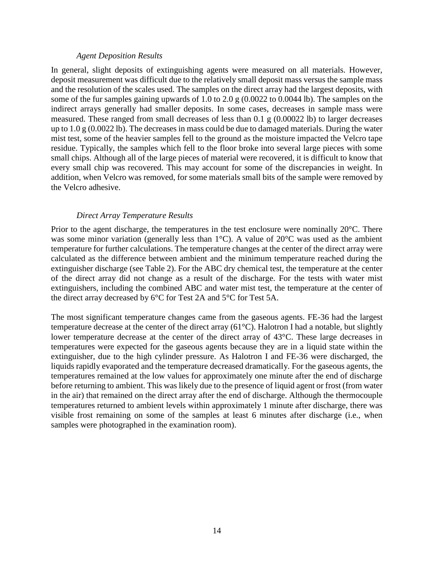#### *Agent Deposition Results*

In general, slight deposits of extinguishing agents were measured on all materials. However, deposit measurement was difficult due to the relatively small deposit mass versus the sample mass and the resolution of the scales used. The samples on the direct array had the largest deposits, with some of the fur samples gaining upwards of 1.0 to 2.0 g (0.0022 to 0.0044 lb). The samples on the indirect arrays generally had smaller deposits. In some cases, decreases in sample mass were measured. These ranged from small decreases of less than  $0.1 \text{ g } (0.00022 \text{ lb})$  to larger decreases up to 1.0 g (0.0022 lb). The decreases in mass could be due to damaged materials. During the water mist test, some of the heavier samples fell to the ground as the moisture impacted the Velcro tape residue. Typically, the samples which fell to the floor broke into several large pieces with some small chips. Although all of the large pieces of material were recovered, it is difficult to know that every small chip was recovered. This may account for some of the discrepancies in weight. In addition, when Velcro was removed, for some materials small bits of the sample were removed by the Velcro adhesive.

#### *Direct Array Temperature Results*

Prior to the agent discharge, the temperatures in the test enclosure were nominally 20°C. There was some minor variation (generally less than 1<sup>o</sup>C). A value of 20<sup>o</sup>C was used as the ambient temperature for further calculations. The temperature changes at the center of the direct array were calculated as the difference between ambient and the minimum temperature reached during the extinguisher discharge (see Table 2). For the ABC dry chemical test, the temperature at the center of the direct array did not change as a result of the discharge. For the tests with water mist extinguishers, including the combined ABC and water mist test, the temperature at the center of the direct array decreased by 6°C for Test 2A and 5°C for Test 5A.

The most significant temperature changes came from the gaseous agents. FE-36 had the largest temperature decrease at the center of the direct array (61°C). Halotron I had a notable, but slightly lower temperature decrease at the center of the direct array of 43°C. These large decreases in temperatures were expected for the gaseous agents because they are in a liquid state within the extinguisher, due to the high cylinder pressure. As Halotron I and FE-36 were discharged, the liquids rapidly evaporated and the temperature decreased dramatically. For the gaseous agents, the temperatures remained at the low values for approximately one minute after the end of discharge before returning to ambient. This was likely due to the presence of liquid agent or frost (from water in the air) that remained on the direct array after the end of discharge. Although the thermocouple temperatures returned to ambient levels within approximately 1 minute after discharge, there was visible frost remaining on some of the samples at least 6 minutes after discharge (i.e., when samples were photographed in the examination room).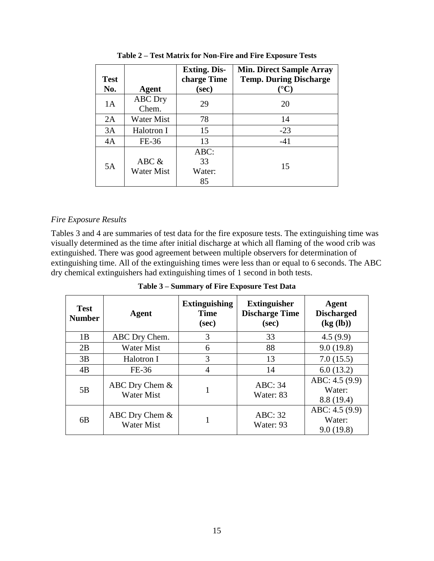| <b>Test</b> |                            | <b>Exting. Dis-</b><br>charge Time | <b>Min. Direct Sample Array</b><br><b>Temp. During Discharge</b> |  |
|-------------|----------------------------|------------------------------------|------------------------------------------------------------------|--|
| No.         | <b>Agent</b>               | (sec)                              | $\rm ^{\circ} C$ )                                               |  |
| 1A          | <b>ABC</b> Dry<br>Chem.    | 29                                 | 20                                                               |  |
| 2A          | Water Mist                 | 78                                 | 14                                                               |  |
| 3A          | Halotron I                 | 15                                 | $-23$                                                            |  |
| 4A          | FE-36                      | 13                                 | $-41$                                                            |  |
| 5A          |                            | ABC:                               |                                                                  |  |
|             | ABC &<br><b>Water Mist</b> | 33                                 | 15                                                               |  |
|             |                            | Water:                             |                                                                  |  |
|             |                            | 85                                 |                                                                  |  |

**Table 2 – Test Matrix for Non-Fire and Fire Exposure Tests**

#### *Fire Exposure Results*

Tables 3 and 4 are summaries of test data for the fire exposure tests. The extinguishing time was visually determined as the time after initial discharge at which all flaming of the wood crib was extinguished. There was good agreement between multiple observers for determination of extinguishing time. All of the extinguishing times were less than or equal to 6 seconds. The ABC dry chemical extinguishers had extinguishing times of 1 second in both tests.

| Table 3 – Summary of Fire Exposure Test Data |  |  |
|----------------------------------------------|--|--|
|                                              |  |  |

| <b>Test</b><br><b>Number</b> | Agent                                 | <b>Extinguishing</b><br><b>Time</b><br>(sec) | <b>Extinguisher</b><br><b>Discharge Time</b><br>(sec) | Agent<br><b>Discharged</b><br>$\left(\text{kg}\left(\text{lb}\right)\right)$ |
|------------------------------|---------------------------------------|----------------------------------------------|-------------------------------------------------------|------------------------------------------------------------------------------|
| 1B                           | ABC Dry Chem.                         | 3                                            | 33                                                    | 4.5(9.9)                                                                     |
| 2B                           | <b>Water Mist</b>                     | 6                                            | 88                                                    | 9.0(19.8)                                                                    |
| 3B                           | Halotron I                            | 3                                            | 13                                                    | 7.0(15.5)                                                                    |
| 4B                           | FE-36                                 | 4                                            | 14                                                    | 6.0(13.2)                                                                    |
| 5B                           | ABC Dry Chem $&$<br><b>Water Mist</b> |                                              | ABC: 34<br>Water: 83                                  | ABC: 4.5 (9.9)<br>Water:<br>8.8(19.4)                                        |
| 6 <sub>B</sub>               | ABC Dry Chem $&$<br><b>Water Mist</b> |                                              | ABC: 32<br>Water: 93                                  | ABC: 4.5 (9.9)<br>Water:<br>9.0(19.8)                                        |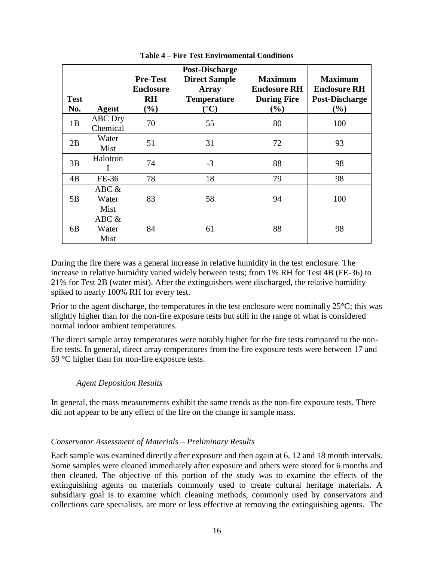| <b>Test</b><br>No. | Agent                  | <b>Pre-Test</b><br><b>Enclosure</b><br><b>RH</b><br>$(\%)$ | <b>Post-Discharge</b><br><b>Direct Sample</b><br><b>Array</b><br><b>Temperature</b><br>$({}^{\circ}{\rm C})$ | <b>Maximum</b><br><b>Enclosure RH</b><br><b>During Fire</b><br>$(\%)$ | <b>Maximum</b><br><b>Enclosure RH</b><br><b>Post-Discharge</b><br>$(\%)$ |
|--------------------|------------------------|------------------------------------------------------------|--------------------------------------------------------------------------------------------------------------|-----------------------------------------------------------------------|--------------------------------------------------------------------------|
| 1B                 | ABC Dry<br>Chemical    | 70                                                         | 55                                                                                                           | 80                                                                    | 100                                                                      |
| 2B                 | Water<br>Mist          | 51                                                         | 31                                                                                                           | 72                                                                    | 93                                                                       |
| 3B                 | Halotron               | 74                                                         | $-3$                                                                                                         | 88                                                                    | 98                                                                       |
| 4B                 | FE-36                  | 78                                                         | 18                                                                                                           | 79                                                                    | 98                                                                       |
| 5B                 | ABC &<br>Water<br>Mist | 83                                                         | 58                                                                                                           | 94                                                                    | 100                                                                      |
| 6B                 | ABC &<br>Water<br>Mist | 84                                                         | 61                                                                                                           | 88                                                                    | 98                                                                       |

**Table 4 – Fire Test Environmental Conditions**

During the fire there was a general increase in relative humidity in the test enclosure. The increase in relative humidity varied widely between tests; from 1% RH for Test 4B (FE-36) to 21% for Test 2B (water mist). After the extinguishers were discharged, the relative humidity spiked to nearly 100% RH for every test.

Prior to the agent discharge, the temperatures in the test enclosure were nominally  $25^{\circ}$ C; this was slightly higher than for the non-fire exposure tests but still in the range of what is considered normal indoor ambient temperatures.

The direct sample array temperatures were notably higher for the fire tests compared to the nonfire tests. In general, direct array temperatures from the fire exposure tests were between 17 and 59 °C higher than for non-fire exposure tests.

# *Agent Deposition Results*

In general, the mass measurements exhibit the same trends as the non-fire exposure tests. There did not appear to be any effect of the fire on the change in sample mass.

#### *Conservator Assessment of Materials – Preliminary Results*

Each sample was examined directly after exposure and then again at 6, 12 and 18 month intervals. Some samples were cleaned immediately after exposure and others were stored for 6 months and then cleaned. The objective of this portion of the study was to examine the effects of the extinguishing agents on materials commonly used to create cultural heritage materials. A subsidiary goal is to examine which cleaning methods, commonly used by conservators and collections care specialists, are more or less effective at removing the extinguishing agents. The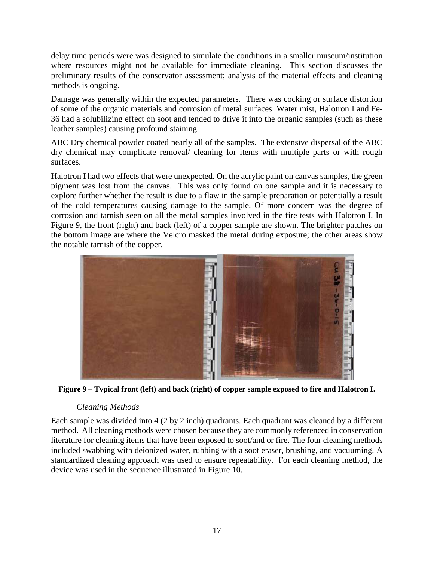delay time periods were was designed to simulate the conditions in a smaller museum/institution where resources might not be available for immediate cleaning. This section discusses the preliminary results of the conservator assessment; analysis of the material effects and cleaning methods is ongoing.

Damage was generally within the expected parameters. There was cocking or surface distortion of some of the organic materials and corrosion of metal surfaces. Water mist, Halotron I and Fe-36 had a solubilizing effect on soot and tended to drive it into the organic samples (such as these leather samples) causing profound staining.

ABC Dry chemical powder coated nearly all of the samples. The extensive dispersal of the ABC dry chemical may complicate removal/ cleaning for items with multiple parts or with rough surfaces.

Halotron I had two effects that were unexpected. On the acrylic paint on canvas samples, the green pigment was lost from the canvas. This was only found on one sample and it is necessary to explore further whether the result is due to a flaw in the sample preparation or potentially a result of the cold temperatures causing damage to the sample. Of more concern was the degree of corrosion and tarnish seen on all the metal samples involved in the fire tests with Halotron I. In Figure 9, the front (right) and back (left) of a copper sample are shown. The brighter patches on the bottom image are where the Velcro masked the metal during exposure; the other areas show the notable tarnish of the copper.



**Figure 9 – Typical front (left) and back (right) of copper sample exposed to fire and Halotron I.**

# *Cleaning Methods*

Each sample was divided into 4 (2 by 2 inch) quadrants. Each quadrant was cleaned by a different method. All cleaning methods were chosen because they are commonly referenced in conservation literature for cleaning items that have been exposed to soot/and or fire. The four cleaning methods included swabbing with deionized water, rubbing with a soot eraser, brushing, and vacuuming. A standardized cleaning approach was used to ensure repeatability. For each cleaning method, the device was used in the sequence illustrated in Figure 10.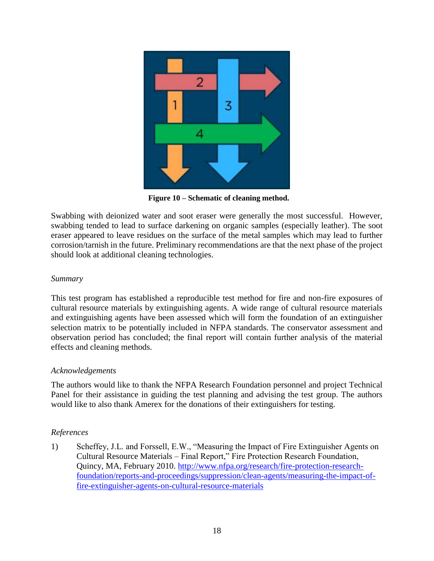

 **Figure 10 – Schematic of cleaning method.**

Swabbing with deionized water and soot eraser were generally the most successful. However, swabbing tended to lead to surface darkening on organic samples (especially leather). The soot eraser appeared to leave residues on the surface of the metal samples which may lead to further corrosion/tarnish in the future. Preliminary recommendations are that the next phase of the project should look at additional cleaning technologies.

#### *Summary*

This test program has established a reproducible test method for fire and non-fire exposures of cultural resource materials by extinguishing agents. A wide range of cultural resource materials and extinguishing agents have been assessed which will form the foundation of an extinguisher selection matrix to be potentially included in NFPA standards. The conservator assessment and observation period has concluded; the final report will contain further analysis of the material effects and cleaning methods.

#### *Acknowledgements*

The authors would like to thank the NFPA Research Foundation personnel and project Technical Panel for their assistance in guiding the test planning and advising the test group. The authors would like to also thank Amerex for the donations of their extinguishers for testing.

# *References*

1) Scheffey, J.L. and Forssell, E.W., "Measuring the Impact of Fire Extinguisher Agents on Cultural Resource Materials – Final Report," Fire Protection Research Foundation, Quincy, MA, February 2010. [http://www.nfpa.org/research/fire-protection-research](http://www.nfpa.org/research/fire-protection-research-foundation/reports-and-proceedings/suppression/clean-agents/measuring-the-impact-of-fire-extinguisher-agents-on-cultural-resource-materials)[foundation/reports-and-proceedings/suppression/clean-agents/measuring-the-impact-of](http://www.nfpa.org/research/fire-protection-research-foundation/reports-and-proceedings/suppression/clean-agents/measuring-the-impact-of-fire-extinguisher-agents-on-cultural-resource-materials)[fire-extinguisher-agents-on-cultural-resource-materials](http://www.nfpa.org/research/fire-protection-research-foundation/reports-and-proceedings/suppression/clean-agents/measuring-the-impact-of-fire-extinguisher-agents-on-cultural-resource-materials)